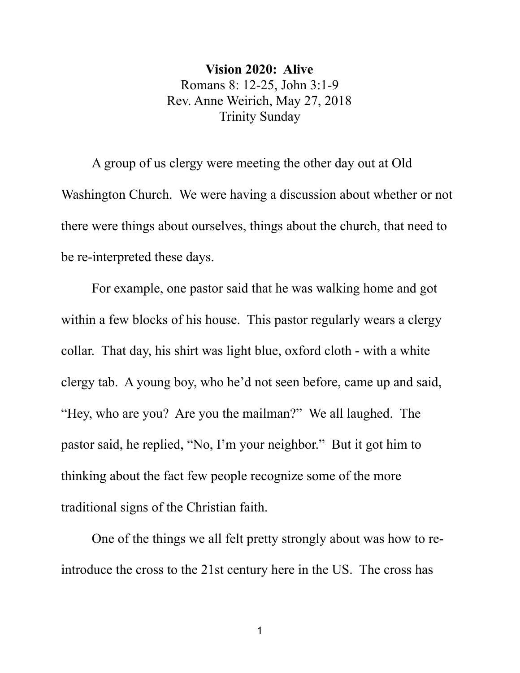**Vision 2020: Alive** Romans 8: 12-25, John 3:1-9 Rev. Anne Weirich, May 27, 2018 Trinity Sunday

A group of us clergy were meeting the other day out at Old Washington Church. We were having a discussion about whether or not there were things about ourselves, things about the church, that need to be re-interpreted these days.

For example, one pastor said that he was walking home and got within a few blocks of his house. This pastor regularly wears a clergy collar. That day, his shirt was light blue, oxford cloth - with a white clergy tab. A young boy, who he'd not seen before, came up and said, "Hey, who are you? Are you the mailman?" We all laughed. The pastor said, he replied, "No, I'm your neighbor." But it got him to thinking about the fact few people recognize some of the more traditional signs of the Christian faith.

One of the things we all felt pretty strongly about was how to reintroduce the cross to the 21st century here in the US. The cross has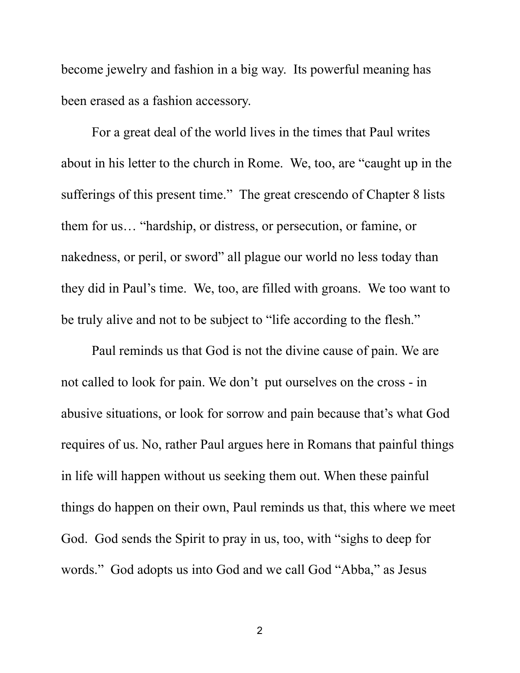become jewelry and fashion in a big way. Its powerful meaning has been erased as a fashion accessory.<br>For a great deal of the world lives in the times that Paul writes

about in his letter to the church in Rome. We, too, are "caught up in the sufferings of this present time." The great crescendo of Chapter 8 lists them for us… "hardship, or distress, or persecution, or famine, or nakedness, or peril, or sword" all plague our world no less today than they did in Paul's time. We, too, are filled with groans. We too want to be truly alive and not to be subject to "life according to the flesh."

Paul reminds us that God is not the divine cause of pain. We are not called to look for pain. We don't put ourselves on the cross - in abusive situations, or look for sorrow and pain because that's what God requires of us. No, rather Paul argues here in Romans that painful things in life will happen without us seeking them out. When these painful things do happen on their own, Paul reminds us that, this where we meet God. God sends the Spirit to pray in us, too, with "sighs to deep for words." God adopts us into God and we call God "Abba," as Jesus

2 and 2 and 2 and 2 and 2 and 2 and 2 and 2 and 2 and 2 and 2 and 2 and 2 and 2 and 2 and 2 and 2 and 2 and 2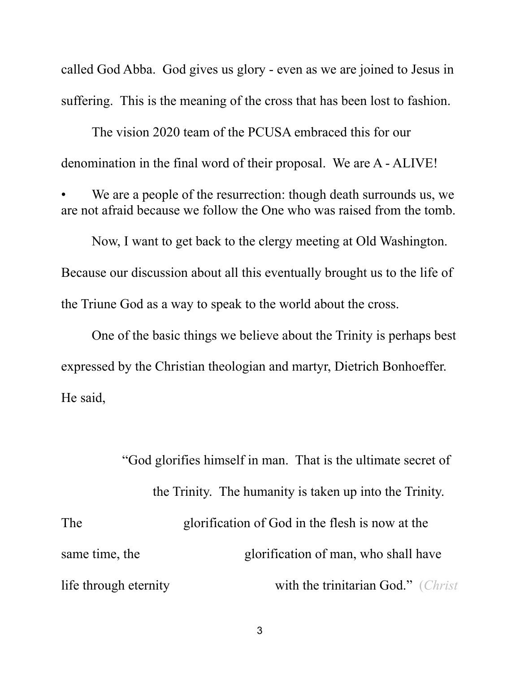called God Abba. God gives us glory - even as we are joined to Jesus in suffering. This is the meaning of the cross that has been lost to fashion.

The vision 2020 team of the PCUSA embraced this for our denomination in the final word of their proposal. We are A - ALIVE!

We are a people of the resurrection: though death surrounds us, we are not afraid because we follow the One who was raised from the tomb.

Now, I want to get back to the clergy meeting at Old Washington. Because our discussion about all this eventually brought us to the life of the Triune God as a way to speak to the world about the cross.

One of the basic things we believe about the Trinity is perhaps best expressed by the Christian theologian and martyr, Dietrich Bonhoeffer. He said,

"God glorifies himself in man. That is the ultimate secret of the Trinity. The humanity is taken up into the Trinity.<br>The glorification of God in the flesh is now at the same time, the glorification of man, who shall have life through eternity with the trinitarian God." (*Christ*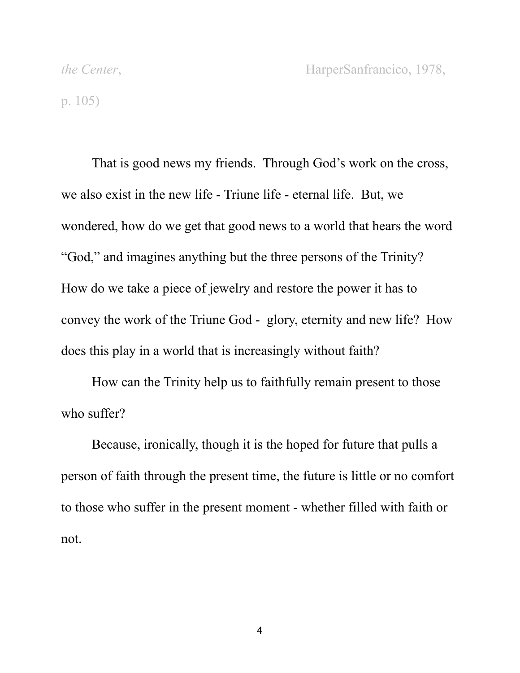p. 105)

That is good news my friends. Through God's work on the cross, we also exist in the new life - Triune life - eternal life. But, we wondered, how do we get that good news to a world that hears the word "God," and imagines anything but the three persons of the Trinity? How do we take a piece of jewelry and restore the power it has to convey the work of the Triune God - glory, eternity and new life? How does this play in a world that is increasingly without faith?

How can the Trinity help us to faithfully remain present to those who suffer?

Because, ironically, though it is the hoped for future that pulls a person of faith through the present time, the future is little or no comfort to those who suffer in the present moment - whether filled with faith or not.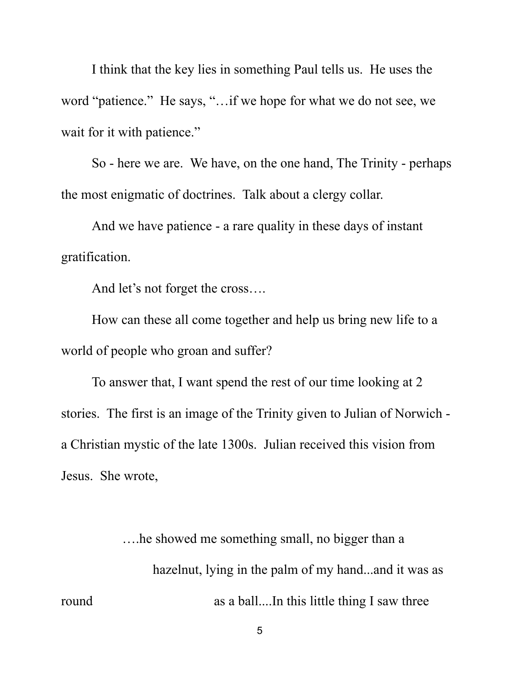I think that the key lies in something Paul tells us. He uses the word "patience." He says, "…if we hope for what we do not see, we wait for it with patience."

So - here we are. We have, on the one hand, The Trinity - perhaps the most enigmatic of doctrines. Talk about a clergy collar. And we have patience - a rare quality in these days of instant

gratification.

And let's not forget the cross….

How can these all come together and help us bring new life to a world of people who groan and suffer?

To answer that, I want spend the rest of our time looking at 2 stories. The first is an image of the Trinity given to Julian of Norwich a Christian mystic of the late 1300s. Julian received this vision from Jesus. She wrote,

….he showed me something small, no bigger than a hazelnut, lying in the palm of my hand...and it was as round as a ball....In this little thing I saw three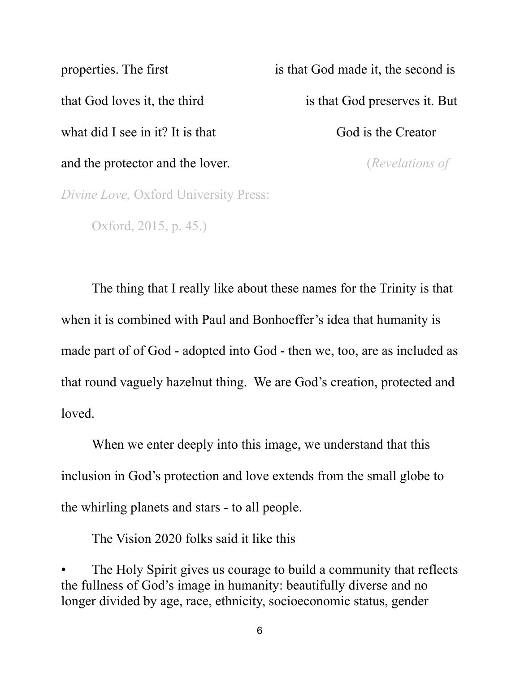properties. The first is that God made it, the second is that God loves it, the third is that God preserves it. But what did I see in it? It is that God is the Creator and the protector and the lover. (*Revelations of Divine Love,* Oxford University Press:

Oxford, 2015, p. 45.)

The thing that I really like about these names for the Trinity is that when it is combined with Paul and Bonhoeffer's idea that humanity is made part of of God - adopted into God - then we, too, are as included as that round vaguely hazelnut thing. We are God's creation, protected and loved.

When we enter deeply into this image, we understand that this inclusion in God's protection and love extends from the small globe to the whirling planets and stars - to all people.

The Vision 2020 folks said it like this

The Holy Spirit gives us courage to build a community that reflects the fullness of God's image in humanity: beautifully diverse and no longer divided by age, race, ethnicity, socioeconomic status, gender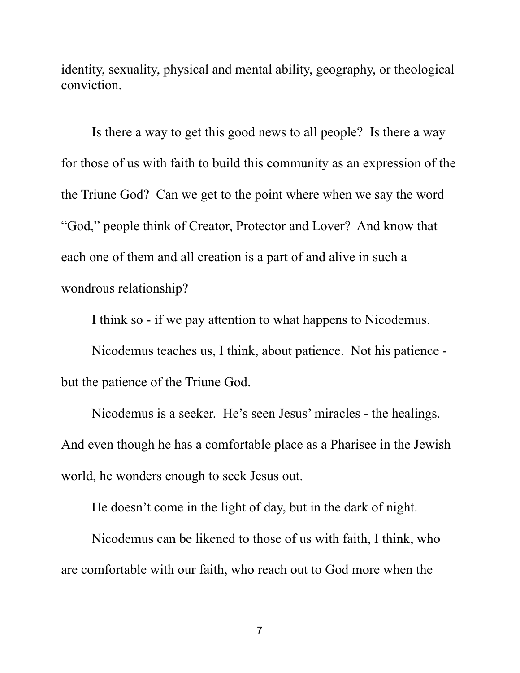identity, sexuality, physical and mental ability, geography, or theological conviction.

Is there a way to get this good news to all people? Is there a way for those of us with faith to build this community as an expression of the the Triune God? Can we get to the point where when we say the word "God," people think of Creator, Protector and Lover? And know that each one of them and all creation is a part of and alive in such a wondrous relationship?

I think so - if we pay attention to what happens to Nicodemus.

Nicodemus teaches us, I think, about patience. Not his patience but the patience of the Triune God.

Nicodemus is a seeker. He's seen Jesus' miracles - the healings. And even though he has a comfortable place as a Pharisee in the Jewish world, he wonders enough to seek Jesus out.

He doesn't come in the light of day, but in the dark of night.

Nicodemus can be likened to those of us with faith, I think, who are comfortable with our faith, who reach out to God more when the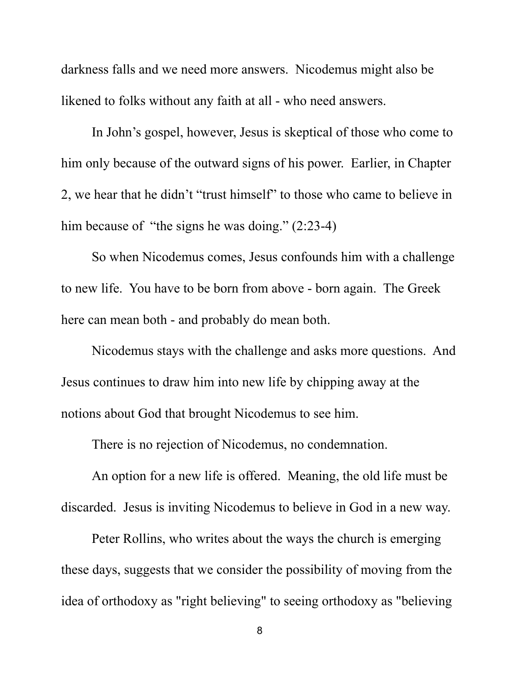darkness falls and we need more answers. Nicodemus might also be likened to folks without any faith at all - who need answers.

In John's gospel, however, Jesus is skeptical of those who come to him only because of the outward signs of his power. Earlier, in Chapter 2, we hear that he didn't "trust himself" to those who came to believe in him because of "the signs he was doing." (2:23-4)

So when Nicodemus comes, Jesus confounds him with a challenge to new life. You have to be born from above - born again. The Greek here can mean both - and probably do mean both.

Nicodemus stays with the challenge and asks more questions. And Jesus continues to draw him into new life by chipping away at the notions about God that brought Nicodemus to see him.

There is no rejection of Nicodemus, no condemnation.

An option for a new life is offered. Meaning, the old life must be discarded. Jesus is inviting Nicodemus to believe in God in a new way.

Peter Rollins, who writes about the ways the church is emerging these days, suggests that we consider the possibility of moving from the idea of orthodoxy as "right believing" to seeing orthodoxy as "believing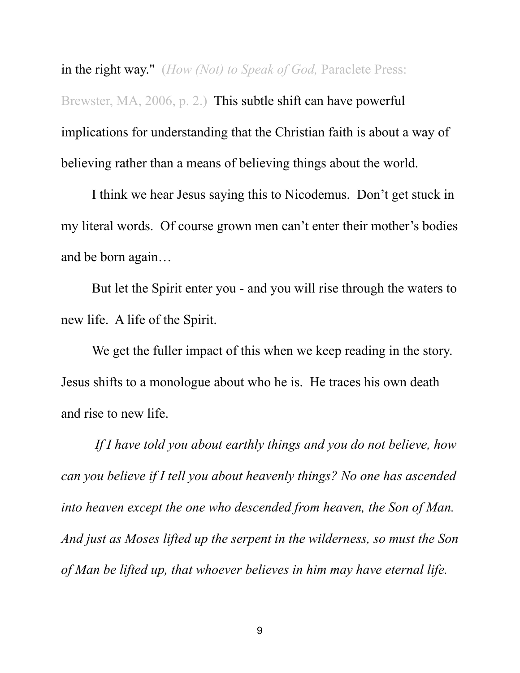in the right way." (*How (Not) to Speak of God,* Paraclete Press: Brewster, MA, 2006, p. 2.) This subtle shift can have powerful implications for understanding that the Christian faith is about a way of believing rather than a means of believing things about the world.

I think we hear Jesus saying this to Nicodemus. Don't get stuck in my literal words. Of course grown men can't enter their mother's bodies and be born again…

But let the Spirit enter you - and you will rise through the waters to new life. A life of the Spirit.

We get the fuller impact of this when we keep reading in the story. Jesus shifts to a monologue about who he is. He traces his own death and rise to new life.

 *If I have told you about earthly things and you do not believe, how can you believe if I tell you about heavenly things? No one has ascended into heaven except the one who descended from heaven, the Son of Man. And just as Moses lifted up the serpent in the wilderness, so must the Son of Man be lifted up, that whoever believes in him may have eternal life.*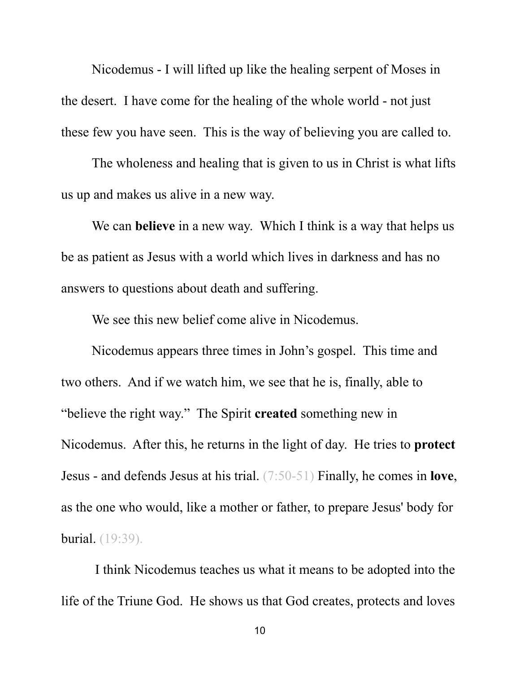Nicodemus - I will lifted up like the healing serpent of Moses in the desert. I have come for the healing of the whole world - not just these few you have seen. This is the way of believing you are called to.

The wholeness and healing that is given to us in Christ is what lifts us up and makes us alive in a new way. We can **believe** in a new way. Which I think is a way that helps us

be as patient as Jesus with a world which lives in darkness and has no answers to questions about death and suffering.

We see this new belief come alive in Nicodemus.

Nicodemus appears three times in John's gospel. This time and two others. And if we watch him, we see that he is, finally, able to "believe the right way." The Spirit **created** something new in Nicodemus. After this, he returns in the light of day. He tries to **protect** Jesus - and defends Jesus at his trial. (7:50-51) Finally, he comes in **love**, as the one who would, like a mother or father, to prepare Jesus' body for burial. (19:39).

 I think Nicodemus teaches us what it means to be adopted into the life of the Triune God. He shows us that God creates, protects and loves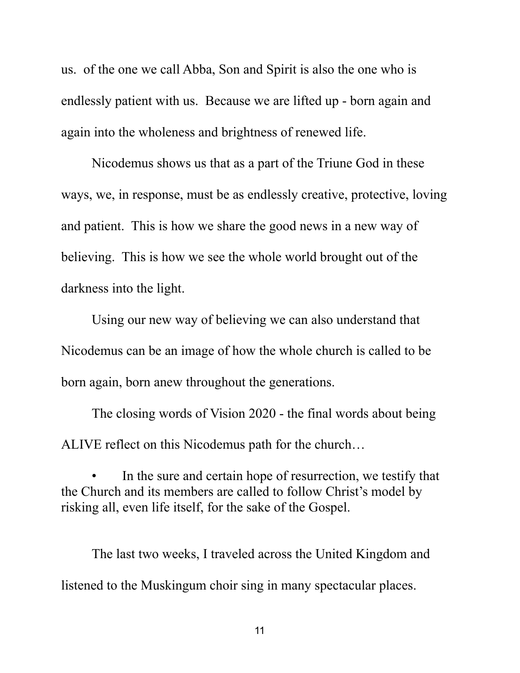us. of the one we call Abba, Son and Spirit is also the one who is endlessly patient with us. Because we are lifted up - born again and again into the wholeness and brightness of renewed life.

Nicodemus shows us that as a part of the Triune God in these ways, we, in response, must be as endlessly creative, protective, loving and patient. This is how we share the good news in a new way of believing. This is how we see the whole world brought out of the darkness into the light.

Using our new way of believing we can also understand that Nicodemus can be an image of how the whole church is called to be born again, born anew throughout the generations.

The closing words of Vision 2020 - the final words about being ALIVE reflect on this Nicodemus path for the church…

In the sure and certain hope of resurrection, we testify that the Church and its members are called to follow Christ's model by risking all, even life itself, for the sake of the Gospel.

The last two weeks, I traveled across the United Kingdom and listened to the Muskingum choir sing in many spectacular places.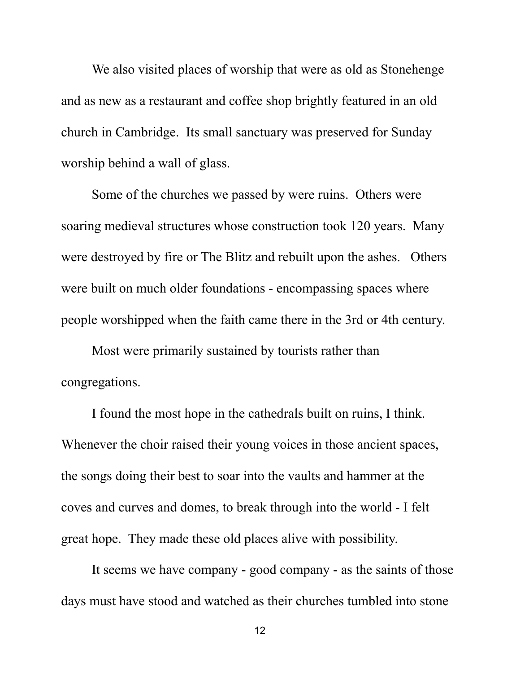We also visited places of worship that were as old as Stonehenge and as new as a restaurant and coffee shop brightly featured in an old church in Cambridge. Its small sanctuary was preserved for Sunday worship behind a wall of glass.

Some of the churches we passed by were ruins. Others were soaring medieval structures whose construction took 120 years. Many were destroyed by fire or The Blitz and rebuilt upon the ashes. Others were built on much older foundations - encompassing spaces where people worshipped when the faith came there in the 3rd or 4th century.

Most were primarily sustained by tourists rather than congregations.

I found the most hope in the cathedrals built on ruins, I think. Whenever the choir raised their young voices in those ancient spaces, the songs doing their best to soar into the vaults and hammer at the coves and curves and domes, to break through into the world - I felt great hope. They made these old places alive with possibility.<br>It seems we have company - good company - as the saints of those

days must have stood and watched as their churches tumbled into stone